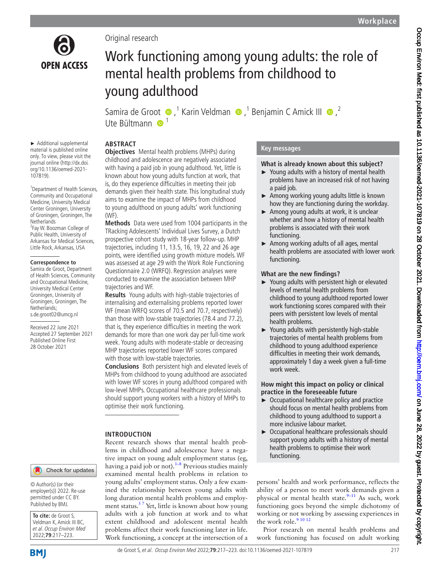

► Additional supplemental material is published online only. To view, please visit the journal online ([http://dx.doi.](http://dx.doi.org/10.1136/oemed-2021-107819) [org/10.1136/oemed-2021-](http://dx.doi.org/10.1136/oemed-2021-107819)

<sup>1</sup> Department of Health Sciences, Community and Occupational Medicine, University Medical Center Groningen, University of Groningen, Groningen, The

<sup>2</sup> Fay W. Boozman College of Public Health, University of Arkansas for Medical Sciences, Little Rock, Arkansas, USA

**Correspondence to** Samira de Groot, Department of Health Sciences, Community and Occupational Medicine, University Medical Center Groningen, University of Groningen, Groningen, The

[107819](http://dx.doi.org/10.1136/oemed-2021-107819)).

**Netherlands** 

Netherlands; s.de.groot02@umcg.nl Received 22 June 2021 Accepted 27 September 2021 Published Online First 28 October 2021

## Original research

# Work functioning among young adults: the role of mental health problems from childhood to young adulthood

Samirade Groot  $\bigcirc$ ,<sup>1</sup> Karin Veldman  $\bigcirc$ ,<sup>1</sup> Benjamin C Amick III  $\bigcirc$ ,<sup>2</sup> Ute Bültmann  $\bigcirc$ <sup>1</sup>

# **ABSTRACT**

**Objectives** Mental health problems (MHPs) during childhood and adolescence are negatively associated with having a paid job in young adulthood. Yet, little is known about how young adults function at work, that is, do they experience difficulties in meeting their job demands given their health state. This longitudinal study aims to examine the impact of MHPs from childhood to young adulthood on young adults' work functioning (WF).

**Methods** Data were used from 1004 participants in the TRacking Adolescents' Individual Lives Survey, a Dutch prospective cohort study with 18-year follow-up. MHP trajectories, including 11, 13.5, 16, 19, 22 and 26 age points, were identified using growth mixture models. WF was assessed at age 29 with the Work Role Functioning Questionnaire 2.0 (WRFQ). Regression analyses were conducted to examine the association between MHP trajectories and WF.

**Results** Young adults with high-stable trajectories of internalising and externalising problems reported lower WF (mean WRFQ scores of 70.5 and 70.7, respectively) than those with low-stable trajectories (78.4 and 77.2), that is, they experience difficulties in meeting the work demands for more than one work day per full-time work week. Young adults with moderate-stable or decreasing MHP trajectories reported lower WF scores compared with those with low-stable trajectories.

**Conclusions** Both persistent high and elevated levels of MHPs from childhood to young adulthood are associated with lower WF scores in young adulthood compared with low-level MHPs. Occupational healthcare professionals should support young workers with a history of MHPs to optimise their work functioning.

## **INTRODUCTION**

Recent research shows that mental health problems in childhood and adolescence have a negative impact on young adult employment status (eg, having a paid job or not).<sup>1-8</sup> Previous studies mainly examined mental health problems in relation to young adults' employment status. Only a few examined the relationship between young adults with long duration mental health problems and employment status.<sup>57</sup> Yet, little is known about how young adults with a job function at work and to what extent childhood and adolescent mental health problems affect their work functioning later in life. Work functioning, a concept at the intersection of a

# **Key messages**

## **What is already known about this subject?**

- ► Young adults with a history of mental health problems have an increased risk of not having a paid job.
- ► Among working young adults little is known how they are functioning during the workday.
- $\blacktriangleright$  Among young adults at work, it is unclear whether and how a history of mental health problems is associated with their work functioning.
- ► Among working adults of all ages, mental health problems are associated with lower work functioning.

## **What are the new findings?**

- ► Young adults with persistent high or elevated levels of mental health problems from childhood to young adulthood reported lower work functioning scores compared with their peers with persistent low levels of mental health problems.
- ► Young adults with persistently high-stable trajectories of mental health problems from childhood to young adulthood experience difficulties in meeting their work demands, approximately 1 day a week given a full-time work week.

#### **How might this impact on policy or clinical practice in the foreseeable future**

- ► Occupational healthcare policy and practice should focus on mental health problems from childhood to young adulthood to support a more inclusive labour market.
- ► Occupational healthcare professionals should support young adults with a history of mental health problems to optimise their work functioning.

persons' health and work performance, reflects the ability of a person to meet work demands given a physical or mental health state. $9-11$  As such, work functioning goes beyond the simple dichotomy of working or not working by assessing experiences in the work role.<sup>9</sup> 10 12

Prior research on mental health problems and work functioning has focused on adult working

© Author(s) (or their employer(s)) 2022. Re-use permitted under CC BY. Published by BMJ.

**To cite:** de Groot S, Veldman K, Amick III BC. et al. Occup Environ Med 2022;**79**:217–223.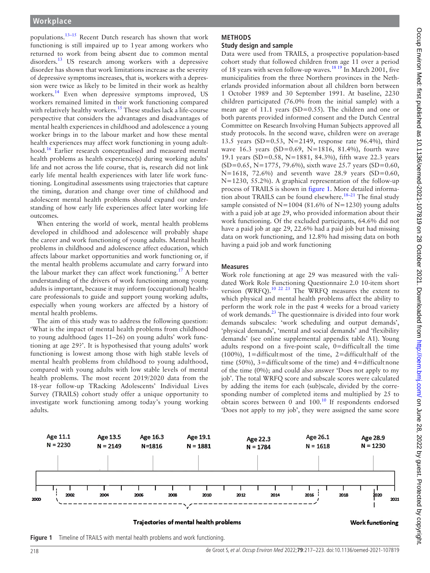populations.[13–15](#page-6-2) Recent Dutch research has shown that work functioning is still impaired up to 1year among workers who returned to work from being absent due to common mental disorders.<sup>[13](#page-6-2)</sup> US research among workers with a depressive disorder has shown that work limitations increase as the severity of depressive symptoms increases, that is, workers with a depression were twice as likely to be limited in their work as healthy workers.<sup>[14](#page-6-3)</sup> Even when depressive symptoms improved, US workers remained limited in their work functioning compared with relatively healthy workers.<sup>[15](#page-6-4)</sup> These studies lack a life-course perspective that considers the advantages and disadvantages of mental health experiences in childhood and adolescence a young worker brings in to the labour market and how these mental health experiences may affect work functioning in young adult-hood.<sup>[16](#page-6-5)</sup> Earlier research conceptualised and measured mental health problems as health experience(s) during working adults' life and not across the life course, that is, research did not link early life mental health experiences with later life work functioning. Longitudinal assessments using trajectories that capture the timing, duration and change over time of childhood and adolescent mental health problems should expand our understanding of how early life experiences affect later working life outcomes.

When entering the world of work, mental health problems developed in childhood and adolescence will probably shape the career and work functioning of young adults. Mental health problems in childhood and adolescence affect education, which affects labour market opportunities and work functioning or, if the mental health problems accumulate and carry forward into the labour market they can affect work functioning.<sup>17</sup> A better understanding of the drivers of work functioning among young adults is important, because it may inform (occupational) healthcare professionals to guide and support young working adults, especially when young workers are affected by a history of mental health problems.

The aim of this study was to address the following question: 'What is the impact of mental health problems from childhood to young adulthood (ages 11–26) on young adults' work functioning at age 29?'. It is hypothesised that young adults' work functioning is lowest among those with high stable levels of mental health problems from childhood to young adulthood, compared with young adults with low stable levels of mental health problems. The most recent 2019/2020 data from the 18-year follow-up TRacking Adolescents' Individual Lives Survey (TRAILS) cohort study offer a unique opportunity to investigate work functioning among today's young working adults.

#### **METHODS Study design and sample**

Data were used from TRAILS, a prospective population-based cohort study that followed children from age 11 over a period of 18 years with seven follow-up waves.<sup>18 19</sup> In March 2001, five municipalities from the three Northern provinces in the Netherlands provided information about all children born between 1 October 1989 and 30 September 1991. At baseline, 2230 children participated (76.0% from the initial sample) with a mean age of 11.1 years (SD=0.55). The children and one or both parents provided informed consent and the Dutch Central Committee on Research Involving Human Subjects approved all study protocols. In the second wave, children were on average 13.5 years (SD=0.53, N=2149, response rate 96.4%), third wave 16.3 years (SD=0.69, N=1816, 81.4%), fourth wave 19.1 years (SD=0.58, N=1881, 84.3%), fifth wave 22.3 years  $(SD=0.65, N=1775, 79.6%)$ , sixth wave 25.7 years  $(SD=0.60, N=1775, 79.6%)$ N=1618, 72.6%) and seventh wave 28.9 years (SD=0.60, N=1230, 55.2%). A graphical representation of the follow-up process of TRAILS is shown in [figure](#page-1-0) 1. More detailed information about TRAILS can be found elsewhere.<sup>18-21</sup> The final study sample consisted of  $N=1004$  (81.6% of  $N=1230$ ) young adults with a paid job at age 29, who provided information about their work functioning. Of the excluded participants, 64.6% did not have a paid job at age 29, 22.6% had a paid job but had missing data on work functioning, and 12.8% had missing data on both having a paid job and work functioning

#### **Measures**

Work role functioning at age 29 was measured with the validated Work Role Functioning Questionnaire 2.0 10-item short version (WRFQ).[10 22 23](#page-6-8) The WRFQ measures the extent to which physical and mental health problems affect the ability to perform the work role in the past 4 weeks for a broad variety of work demands. $^{23}$  The questionnaire is divided into four work demands subscales: 'work scheduling and output demands', 'physical demands', 'mental and social demands' and 'flexibility demands' (see [online supplemental appendix table A1](https://dx.doi.org/10.1136/oemed-2021-107819)). Young adults respond on a five-point scale, 0=difficult all the time (100%), 1=difficultmost of the time, 2=difficulthalf of the time (50%),  $3 =$ difficultsome of the time) and  $4 =$ difficultnone of the time (0%); and could also answer 'Does not apply to my job'. The total WRFQ score and subscale scores were calculated by adding the items for each (sub)scale, divided by the corresponding number of completed items and multiplied by 25 to obtain scores between 0 and 100.[10](#page-6-8) If respondents endorsed 'Does not apply to my job', they were assigned the same score



Trajectories of mental health problems

**Work functioning** 

<span id="page-1-0"></span>**Figure 1** Timeline of TRAILS with mental health problems and work functioning.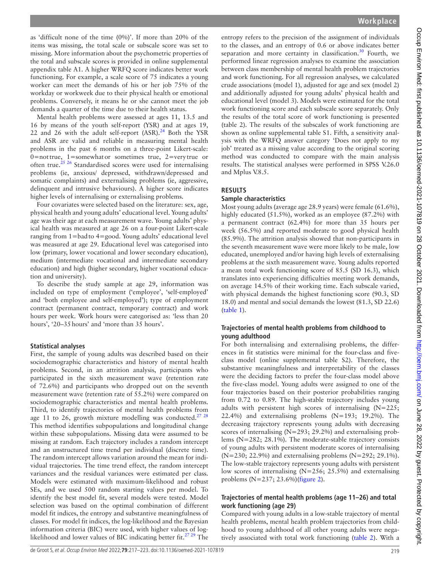as 'difficult none of the time (0%)'. If more than 20% of the items was missing, the total scale or subscale score was set to missing. More information about the psychometric properties of the total and subscale scores is provided in [online supplemental](https://dx.doi.org/10.1136/oemed-2021-107819)  [appendix table A1.](https://dx.doi.org/10.1136/oemed-2021-107819) A higher WRFQ score indicates better work functioning. For example, a scale score of 75 indicates a young worker can meet the demands of his or her job 75% of the workday or workweek due to their physical health or emotional problems. Conversely, it means he or she cannot meet the job demands a quarter of the time due to their health status.

Mental health problems were assessed at ages 11, 13.5 and 16 by means of the youth self-report (YSR) and at ages 19, 22 and 26 with the adult self-report  $(ASR).^{24}$  $(ASR).^{24}$  $(ASR).^{24}$  Both the YSR and ASR are valid and reliable in measuring mental health problems in the past 6 months on a three-point Likert-scale: 0=nottrue, 1=somewhator sometimes true, 2=very true or often true.<sup>[25 26](#page-6-11)</sup> Standardised scores were used for internalising problems (ie, anxious/ depressed, withdrawn/depressed and somatic complaints) and externalising problems (ie, aggressive, delinquent and intrusive behaviours). A higher score indicates higher levels of internalising or externalising problems.

Four covariates were selected based on the literature: sex, age, physical health and young adults' educational level. Young adults' age was their age at each measurement wave. Young adults' physical health was measured at age 26 on a four-point Likert-scale ranging from 1=badto 4=good. Young adults' educational level was measured at age 29. Educational level was categorised into low (primary, lower vocational and lower secondary education), medium (intermediate vocational and intermediate secondary education) and high (higher secondary, higher vocational education and university).

To describe the study sample at age 29, information was included on type of employment ('employee', 'self-employed' and 'both employee and self-employed'); type of employment contract (permanent contract, temporary contract) and work hours per week. Work hours were categorised as: 'less than 20 hours', '20–35hours' and 'more than 35 hours'.

#### **Statistical analyses**

First, the sample of young adults was described based on their sociodemographic characteristics and history of mental health problems. Second, in an attrition analysis, participants who participated in the sixth measurement wave (retention rate of 72.6%) and participants who dropped out on the seventh measurement wave (retention rate of 55.2%) were compared on sociodemographic characteristics and mental health problems. Third, to identify trajectories of mental health problems from age 11 to 26, growth mixture modelling was conducted.<sup>27</sup>  $28$ This method identifies subpopulations and longitudinal change within these subpopulations. Missing data were assumed to be missing at random. Each trajectory includes a random intercept and an unstructured time trend per individual (discrete time). The random intercept allows variation around the mean for individual trajectories. The time trend effect, the random intercept variances and the residual variances were estimated per class. Models were estimated with maximum-likelihood and robust SEs, and we used 500 random starting values per model. To identify the best model fit, several models were tested. Model selection was based on the optimal combination of different model fit indices, the entropy and substantive meaningfulness of classes. For model fit indices, the log-likelihood and the Bayesian information criteria (BIC) were used, with higher values of loglikelihood and lower values of BIC indicating better fit.<sup>27</sup> 29 The

entropy refers to the precision of the assignment of individuals to the classes, and an entropy of 0.6 or above indicates better separation and more certainty in classification.<sup>[30](#page-6-13)</sup> Fourth, we performed linear regression analyses to examine the association between class membership of mental health problem trajectories and work functioning. For all regression analyses, we calculated crude associations (model 1), adjusted for age and sex (model 2) and additionally adjusted for young adults' physical health and educational level (model 3). Models were estimated for the total work functioning score and each subscale score separately. Only the results of the total score of work functioning is presented (table 2). The results of the subscales of work functioning are shown as [online supplemental table S1](https://dx.doi.org/10.1136/oemed-2021-107819). Fifth, a sensitivity analysis with the WRFQ answer category 'Does not apply to my job' treated as a missing value according to the original scoring method was conducted to compare with the main analysis results. The statistical analyses were performed in SPSS V.26.0 and Mplus V.8.5.

#### **RESULTS**

#### **Sample characteristics**

Most young adults (average age 28.9 years) were female (61.6%), highly educated (51.5%), worked as an employee (87.2%) with a permanent contract (62.4%) for more than 35 hours per week (56.5%) and reported moderate to good physical health (85.9%). The attrition analysis showed that non-participants in the seventh measurement wave were more likely to be male, low educated, unemployed and/or having high levels of externalising problems at the sixth measurement wave. Young adults reported a mean total work functioning score of 85.5 (SD 16.3), which translates into experiencing difficulties meeting work demands, on average 14.5% of their working time. Each subscale varied, with physical demands the highest functioning score (90.3, SD 18.0) and mental and social demands the lowest (81.3, SD 22.6) ([table](#page-3-0) 1).

#### **Trajectories of mental health problems from childhood to young adulthood**

For both internalising and externalising problems, the differences in fit statistics were minimal for the four-class and fiveclass model ([online supplemental table S2](https://dx.doi.org/10.1136/oemed-2021-107819)). Therefore, the substantive meaningfulness and interpretability of the classes were the deciding factors to prefer the four-class model above the five-class model. Young adults were assigned to one of the four trajectories based on their posterior probabilities ranging from 0.72 to 0.89. The high-stable trajectory includes young adults with persistent high scores of internalising (N=225; 22.4%) and externalising problems  $(N=193; 19.2\%)$ . The decreasing trajectory represents young adults with decreasing scores of internalising (N=293; 29.2%) and externalising problems (N=282; 28.1%). The moderate-stable trajectory consists of young adults with persistent moderate scores of internalising (N=230; 22.9%) and externalising problems (N=292; 29.1%). The low-stable trajectory represents young adults with persistent low scores of internalising (N=256; 25.5%) and externalising problems (N=237; 23.6%)([figure](#page-4-0) 2).

#### **Trajectories of mental health problems (age 11–26) and total work functioning (age 29)**

Compared with young adults in a low-stable trajectory of mental health problems, mental health problem trajectories from childhood to young adulthood of all other young adults were negatively associated with total work functioning [\(table](#page-4-1) 2). With a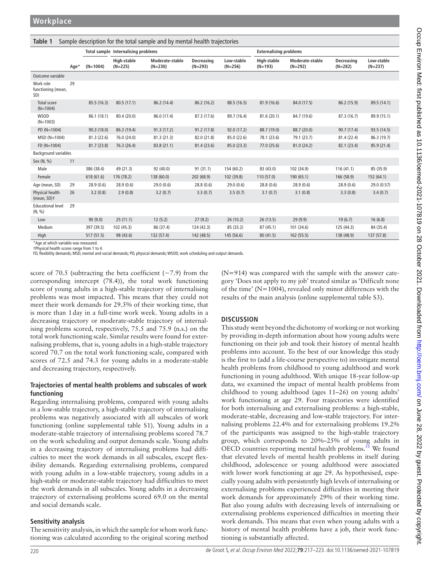<span id="page-3-0"></span>

| Table 1<br>Sample description for the total sample and by mental health trajectories |      |                                     |                          |                              |                         |                               |                          |                              |                         |                         |
|--------------------------------------------------------------------------------------|------|-------------------------------------|--------------------------|------------------------------|-------------------------|-------------------------------|--------------------------|------------------------------|-------------------------|-------------------------|
|                                                                                      |      | Total sample Internalising problems |                          |                              |                         | <b>Externalising problems</b> |                          |                              |                         |                         |
|                                                                                      | Age* | $(N=1004)$                          | High-stable<br>$(N=225)$ | Moderate-stable<br>$(N=230)$ | Decreasing<br>$(N=293)$ | Low-stable<br>$(N=256)$       | High-stable<br>$(N=193)$ | Moderate-stable<br>$(N=292)$ | Decreasing<br>$(N=282)$ | Low-stable<br>$(N=237)$ |
| Outcome variable                                                                     |      |                                     |                          |                              |                         |                               |                          |                              |                         |                         |
| Work role<br>functioning (mean,<br>SD)                                               | 29   |                                     |                          |                              |                         |                               |                          |                              |                         |                         |
| Total score<br>$(N=1004)$                                                            |      | 85.5 (16.3)                         | 80.5 (17.1)              | 86.2 (14.4)                  | 86.2 (16.2)             | 88.5 (16.5)                   | 81.9 (16.6)              | 84.0 (17.5)                  | 86.2 (15.9)             | 89.5 (14.1)             |
| <b>WSOD</b><br>$(N=1003)$                                                            |      | 86.1 (18.1)                         | 80.4 (20.0)              | 86.0 (17.4)                  | 87.3 (17.6)             | 89.7 (16.4)                   | 81.6 (20.1)              | 84.7 (19.6)                  | 87.3 (16.7)             | 89.9 (15.1)             |
| PD (N=1004)                                                                          |      | 90.3(18.0)                          | 86.3 (19.4)              | 91.3(17.2)                   | 91.2 (17.8)             | 92.0 (17.2)                   | 88.7 (19.0)              | 88.7 (20.0)                  | 90.7(17.4)              | 93.5 (14.5)             |
| $MSD (N=1004)$                                                                       |      | 81.3 (22.6)                         | 76.0 (24.0)              | 81.3 (21.3)                  | 82.0 (21.8)             | 85.0 (22.6)                   | 78.1 (23.6)              | 79.1 (23.7)                  | 81.4 (22.4)             | 86.3 (19.7)             |
| $FD (N=1004)$                                                                        |      | 81.7(23.8)                          | 76.3 (26.4)              | 83.8 (21.1)                  | 81.4 (23.6)             | 85.0 (23.3)                   | 77.0 (25.6)              | 81.0 (24.2)                  | 82.1 (23.4)             | 85.9 (21.4)             |
| <b>Background variables</b>                                                          |      |                                     |                          |                              |                         |                               |                          |                              |                         |                         |
| Sex (N, %)                                                                           | 11   |                                     |                          |                              |                         |                               |                          |                              |                         |                         |
| Male                                                                                 |      | 386 (38.4)                          | 49 (21.3)                | 92 (40.0)                    | 91(31.1)                | 154 (60.2)                    | 83 (43.0)                | 102 (34.9)                   | 116(41.1)               | 85 (35.9)               |
| Female                                                                               |      | 618(61.6)                           | 176 (78.2)               | 138 (60.0)                   | 202 (68.9)              | 102 (39.8)                    | 110(57.0)                | 190 (65.1)                   | 166 (58.9)              | 152 (64.1)              |
| Age (mean, SD)                                                                       | 29   | 28.9(0.6)                           | 28.9(0.6)                | 29.0(0.6)                    | 28.8(0.6)               | 29.0(0.6)                     | 28.8(0.6)                | 28.9(0.6)                    | 28.9(0.6)               | 29.0 (0.57)             |
| Physical health<br>(mean, SD)+                                                       | 26   | 3.2(0.8)                            | 2.9(0.8)                 | 3.2(0.7)                     | 3.3(0.7)                | 3.5(0.7)                      | 3.1(0.7)                 | 3.1(0.8)                     | 3.3(0.8)                | 3.4(0.7)                |
| <b>Educational level</b><br>(N, %)                                                   | 29   |                                     |                          |                              |                         |                               |                          |                              |                         |                         |
| Low                                                                                  |      | 90(9.0)                             | 25(11.1)                 | 12(5.2)                      | 27(9.2)                 | 26(10.2)                      | 26 (13.5)                | 29(9.9)                      | 19(6.7)                 | 16(6.8)                 |
| Medium                                                                               |      | 397 (39.5)                          | 102 (45.3)               | 86 (37.4)                    | 124 (42.3)              | 85 (33.2)                     | 87 (45.1)                | 101 (34.6)                   | 125 (44.3)              | 84 (35.4)               |
| High                                                                                 |      | 517 (51.5)                          | 98 (43.6)                | 132 (57.4)                   | 142 (48.5)              | 145 (56.6)                    | 80 (41.5)                | 162 (55.5)                   | 138 (48.9)              | 137 (57.8)              |

\*Age at which variable was measured. †Physical health scores range from 1 to 4.

FD, flexibility demands; MSD, mental and social demands; PD, physical demands; WSOD, work scheduling and output demands.

score of 70.5 (subtracting the beta coefficient (−7.9) from the corresponding intercept (78.4)), the total work functioning score of young adults in a high-stable trajectory of internalising problems was most impacted. This means that they could not meet their work demands for 29.5% of their working time, that is more than 1day in a full-time work week. Young adults in a decreasing trajectory or moderate-stable trajectory of internalising problems scored, respectively, 75.5 and 75.9 (n.s.) on the total work functioning scale. Similar results were found for externalising problems, that is, young adults in a high-stable trajectory scored 70.7 on the total work functioning scale, compared with scores of 72.5 and 74.3 for young adults in a moderate-stable and decreasing trajectory, respectively.

#### **Trajectories of mental health problems and subscales of work functioning**

Regarding internalising problems, compared with young adults in a low-stable trajectory, a high-stable trajectory of internalising problems was negatively associated with all subscales of work functioning [\(online supplemental table S1\)](https://dx.doi.org/10.1136/oemed-2021-107819). Young adults in a moderate-stable trajectory of internalising problems scored 78.7 on the work scheduling and output demands scale. Young adults in a decreasing trajectory of internalising problems had difficulties to meet the work demands in all subscales, except flexibility demands. Regarding externalising problems, compared with young adults in a low-stable trajectory, young adults in a high-stable or moderate-stable trajectory had difficulties to meet the work demands in all subscales. Young adults in a decreasing trajectory of externalising problems scored 69.0 on the mental and social demands scale.

#### **Sensitivity analysis**

The sensitivity analysis, in which the sample for whom work functioning was calculated according to the original scoring method

(N=914) was compared with the sample with the answer category 'Does not apply to my job' treated similar as 'Difficult none of the time' (N=1004), revealed only minor differences with the results of the main analysis ([online supplemental table S3\)](https://dx.doi.org/10.1136/oemed-2021-107819).

## **DISCUSSION**

This study went beyond the dichotomy of working or not working by providing in-depth information about how young adults were functioning on their job and took their history of mental health problems into account. To the best of our knowledge this study is the first to (add a life-course perspective to) investigate mental health problems from childhood to young adulthood and work functioning in young adulthood. With unique 18-year follow-up data, we examined the impact of mental health problems from childhood to young adulthood (ages 11–26) on young adults' work functioning at age 29. Four trajectories were identified for both internalising and externalising problems: a high-stable, moderate-stable, decreasing and low-stable trajectory. For internalising problems 22.4% and for externalising problems 19.2% of the participants was assigned to the high-stable trajectory group, which corresponds to 20%–25% of young adults in OECD countries reporting mental health problems.<sup>31</sup> We found that elevated levels of mental health problems in itself during childhood, adolescence or young adulthood were associated with lower work functioning at age 29. As hypothesised, especially young adults with persistently high levels of internalising or externalising problems experienced difficulties in meeting their work demands for approximately 29% of their working time. But also young adults with decreasing levels of internalising or externalising problems experienced difficulties in meeting their work demands. This means that even when young adults with a history of mental health problems have a job, their work functioning is substantially affected.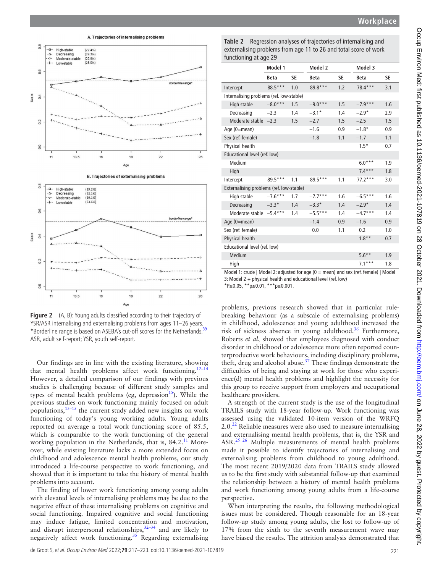

A. Trajectories of internalising problems  $0.8$ 8 High-stable  $(22.4%$ ۵ Decreasing  $(29.2%$  $\ddot{\circ}$ Moderate-stable<br>Lowstable  $(22.9%)$  $0.6$ aros  $04$  $^{12}$  $\overline{a}$  $11$  $13.5$ 19  $22$  $2e$  $A<sub>O</sub>$ **B. Trajectories of externalising problems**  $0.8$ High-stable<br>Decreasing ه<br>۵.  $(28.1%)$ <br> $(19.1%)$ Moderate-stable  $\overline{a}$ Lowstable  $(23.6%)$  $0.6$ alos  $04$  $0.2$  $\overline{0}$  $13.5$  $11$ 19  $\overline{22}$  $26$ 

<span id="page-4-0"></span>**Figure 2** (A, B): Young adults classified according to their trajectory of YSR/ASR internalising and externalising problems from ages 11–26 years. \*Borderline range is based on ASEBA's cut-off scores for the Netherlands.<sup>[39](#page-6-22)</sup> ASR, adult self-report; YSR, youth self-report.

Our findings are in line with the existing literature, showing that mental health problems affect work functioning.<sup>12-14</sup> However, a detailed comparison of our findings with previous studies is challenging because of different study samples and types of mental health problems (eg, depression<sup>[15](#page-6-4)</sup>). While the previous studies on work functioning mainly focused on adult populations, $13-15$  the current study added new insights on work functioning of today's young working adults. Young adults reported on average a total work functioning score of 85.5, which is comparable to the work functioning of the general working population in the Netherlands, that is, 84.2.<sup>11</sup> Moreover, while existing literature lacks a more extended focus on childhood and adolescence mental health problems, our study introduced a life-course perspective to work functioning, and showed that it is important to take the history of mental health problems into account.

The finding of lower work functioning among young adults with elevated levels of internalising problems may be due to the negative effect of these internalising problems on cognitive and social functioning. Impaired cognitive and social functioning may induce fatigue, limited concentration and motivation, and disrupt interpersonal relationships,  $32-34$  and are likely to negatively affect work functioning.<sup>[35](#page-6-18)</sup> Regarding externalising

<span id="page-4-1"></span>**Table 2** Regression analyses of trajectories of internalising and externalising problems from age 11 to 26 and total score of work functioning at age 29

| Model 1<br>Model 2<br>Model 3<br><b>Beta</b><br>SE<br>SE<br>SE<br>Beta<br><b>Beta</b><br>88.5***<br>1.0<br>89.8***<br>1.2<br>78.4***<br>3.1<br>Intercept<br>Internalising problems (ref. low-stable)<br>$-8.0***$<br>High stable<br>1.5<br>1.5<br>1.6<br>$-9.0***$<br>$-7.9***$<br>Decreasing<br>1.4<br>2.9<br>$-2.3$<br>1.4<br>$-3.1*$<br>$-2.9*$<br>Moderate stable $-2.3$<br>1.5<br>1.5<br>1.5<br>$-2.7$<br>$-2.5$<br>Age (0=mean)<br>$-1.8*$<br>0.9<br>$-1.6$<br>0.9<br>Sex (ref. female)<br>1.1<br>1.1<br>$-1.8$<br>$-1.7$<br>Physical health<br>$1.5*$<br>0.7<br>Educational level (ref. low)<br>Medium<br>1.9<br>$6.0***$<br>1.8<br>High<br>$7.4***$<br>89.5***<br>$77.2***$<br>$89.5***$<br>1.1<br>1.1<br>3.0<br>Intercept |
|------------------------------------------------------------------------------------------------------------------------------------------------------------------------------------------------------------------------------------------------------------------------------------------------------------------------------------------------------------------------------------------------------------------------------------------------------------------------------------------------------------------------------------------------------------------------------------------------------------------------------------------------------------------------------------------------------------------------------------|
|                                                                                                                                                                                                                                                                                                                                                                                                                                                                                                                                                                                                                                                                                                                                    |
|                                                                                                                                                                                                                                                                                                                                                                                                                                                                                                                                                                                                                                                                                                                                    |
|                                                                                                                                                                                                                                                                                                                                                                                                                                                                                                                                                                                                                                                                                                                                    |
|                                                                                                                                                                                                                                                                                                                                                                                                                                                                                                                                                                                                                                                                                                                                    |
|                                                                                                                                                                                                                                                                                                                                                                                                                                                                                                                                                                                                                                                                                                                                    |
|                                                                                                                                                                                                                                                                                                                                                                                                                                                                                                                                                                                                                                                                                                                                    |
|                                                                                                                                                                                                                                                                                                                                                                                                                                                                                                                                                                                                                                                                                                                                    |
|                                                                                                                                                                                                                                                                                                                                                                                                                                                                                                                                                                                                                                                                                                                                    |
|                                                                                                                                                                                                                                                                                                                                                                                                                                                                                                                                                                                                                                                                                                                                    |
|                                                                                                                                                                                                                                                                                                                                                                                                                                                                                                                                                                                                                                                                                                                                    |
|                                                                                                                                                                                                                                                                                                                                                                                                                                                                                                                                                                                                                                                                                                                                    |
|                                                                                                                                                                                                                                                                                                                                                                                                                                                                                                                                                                                                                                                                                                                                    |
|                                                                                                                                                                                                                                                                                                                                                                                                                                                                                                                                                                                                                                                                                                                                    |
|                                                                                                                                                                                                                                                                                                                                                                                                                                                                                                                                                                                                                                                                                                                                    |
| Externalising problems (ref. low-stable)                                                                                                                                                                                                                                                                                                                                                                                                                                                                                                                                                                                                                                                                                           |
| $-7.6***$<br>$-7.7***$<br>High stable<br>1.7<br>1.6<br>$-6.5***$<br>1.6                                                                                                                                                                                                                                                                                                                                                                                                                                                                                                                                                                                                                                                            |
| Decreasing<br>$-3.3*$<br>1.4<br>$-2.9*$<br>1.4<br>$-3.3*$<br>1.4                                                                                                                                                                                                                                                                                                                                                                                                                                                                                                                                                                                                                                                                   |
| Moderate stable -5.4***<br>$-5.5***$<br>$-4.7***$<br>1.4<br>1.4<br>1.4                                                                                                                                                                                                                                                                                                                                                                                                                                                                                                                                                                                                                                                             |
| Age (0=mean)<br>$-1.4$<br>0.9<br>$-1.6$<br>0.9                                                                                                                                                                                                                                                                                                                                                                                                                                                                                                                                                                                                                                                                                     |
| Sex (ref. female)<br>1.1<br>1.0<br>0.2<br>0.0                                                                                                                                                                                                                                                                                                                                                                                                                                                                                                                                                                                                                                                                                      |
| Physical health<br>$1.8***$<br>0.7                                                                                                                                                                                                                                                                                                                                                                                                                                                                                                                                                                                                                                                                                                 |
| Educational level (ref. low)                                                                                                                                                                                                                                                                                                                                                                                                                                                                                                                                                                                                                                                                                                       |
| Medium<br>$5.6***$<br>1.9                                                                                                                                                                                                                                                                                                                                                                                                                                                                                                                                                                                                                                                                                                          |
| $7.1***$<br>High<br>1.8                                                                                                                                                                                                                                                                                                                                                                                                                                                                                                                                                                                                                                                                                                            |

Model 1: crude | Model 2: adjusted for age  $(0 = \text{mean})$  and sex (ref. female) | Model

3: Model 2 + physical health and educational level (ref. low)

\*P*≤*0.05, \*\*p*≤*0.01, \*\*\*p*≤*0.001.

problems, previous research showed that in particular rulebreaking behaviour (as a subscale of externalising problems) in childhood, adolescence and young adulthood increased the risk of sickness absence in young adulthood.<sup>[36](#page-6-19)</sup> Furthermore, Roberts *et al*, showed that employees diagnosed with conduct disorder in childhood or adolescence more often reported counterproductive work behaviours, including disciplinary problems, theft, drug and alcohol abuse.<sup>37</sup> These findings demonstrate the difficulties of being and staying at work for those who experience(d) mental health problems and highlight the necessity for this group to receive support from employers and occupational healthcare providers.

A strength of the current study is the use of the longitudinal TRAILS study with 18-year follow-up. Work functioning was assessed using the validated 10-item version of the WRFQ  $2.0<sup>22</sup>$  $2.0<sup>22</sup>$  $2.0<sup>22</sup>$  Reliable measures were also used to measure internalising and externalising mental health problems, that is, the YSR and ASR.<sup>25 26</sup> Multiple measurements of mental health problems made it possible to identify trajectories of internalising and externalising problems from childhood to young adulthood. The most recent 2019/2020 data from TRAILS study allowed us to be the first study with substantial follow-up that examined the relationship between a history of mental health problems and work functioning among young adults from a life-course perspective.

When interpreting the results, the following methodological issues must be considered. Though reasonable for an 18-year follow-up study among young adults, the lost to follow-up of 17% from the sixth to the seventh measurement wave may have biased the results. The attrition analysis demonstrated that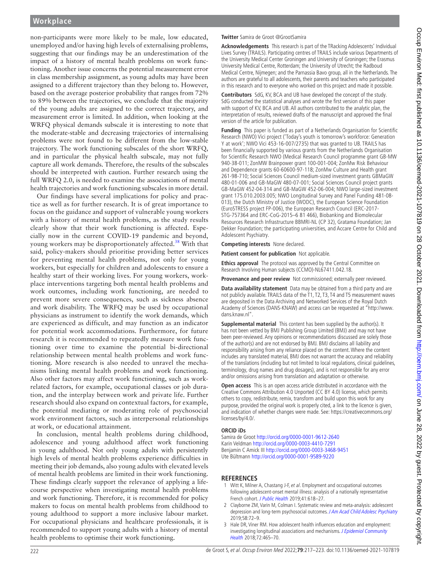non-participants were more likely to be male, low educated, unemployed and/or having high levels of externalising problems, suggesting that our findings may be an underestimation of the impact of a history of mental health problems on work functioning. Another issue concerns the potential measurement error in class membership assignment, as young adults may have been assigned to a different trajectory than they belong to. However, based on the average posterior probability that ranges from 72% to 89% between the trajectories, we conclude that the majority of the young adults are assigned to the correct trajectory, and measurement error is limited. In addition, when looking at the WRFQ physical demands subscale it is interesting to note that the moderate-stable and decreasing trajectories of internalising problems were not found to be different from the low-stable trajectory. The work functioning subscales of the short WRFQ, and in particular the physical health subscale, may not fully capture all work demands. Therefore, the results of the subscales should be interpreted with caution. Further research using the full WRFQ 2.0, is needed to examine the associations of mental health trajectories and work functioning subscales in more detail.

Our findings have several implications for policy and practice as well as for further research. It is of great importance to focus on the guidance and support of vulnerable young workers with a history of mental health problems, as the study results clearly show that their work functioning is affected. Especially now in the current COVID-19 pandemic and beyond, young workers may be disproportionately affected.<sup>[38](#page-6-23)</sup> With that said, policy-makers should prioritise providing better services for preventing mental health problems, not only for young workers, but especially for children and adolescents to ensure a healthy start of their working lives. For young workers, workplace interventions targeting both mental health problems and work outcomes, including work functioning, are needed to prevent more severe consequences, such as sickness absence and work disability. The WRFQ may be used by occupational physicians as instrument to identify the work demands, which are experienced as difficult, and may function as an indicator for potential work accommodations. Furthermore, for future research it is recommended to repeatedly measure work functioning over time to examine the potential bi-directional relationship between mental health problems and work functioning. More research is also needed to unravel the mechanisms linking mental health problems and work functioning. Also other factors may affect work functioning, such as workrelated factors, for example, occupational classes or job duration, and the interplay between work and private life. Further research should also expand on contextual factors, for example, the potential mediating or moderating role of psychosocial work environment factors, such as interpersonal relationships at work, or educational attainment.

In conclusion, mental health problems during childhood, adolescence and young adulthood affect work functioning in young adulthood. Not only young adults with persistently high levels of mental health problems experience difficulties in meeting their job demands, also young adults with elevated levels of mental health problems are limited in their work functioning. These findings clearly support the relevance of applying a lifecourse perspective when investigating mental health problems and work functioning. Therefore, it is recommended for policy makers to focus on mental health problems from childhood to young adulthood to support a more inclusive labour market. For occupational physicians and healthcare professionals, it is recommended to support young adults with a history of mental health problems to optimise their work functioning.

#### **Twitter** Samira de Groot [@GrootSamira](https://twitter.com/GrootSamira)

**Acknowledgements** This research is part of the TRacking Adolescents' Individual Lives Survey (TRAILS). Participating centres of TRAILS include various Departments of the University Medical Center Groningen and University of Groningen; the Erasmus University Medical Centre, Rotterdam; the University of Utrecht; the Radboud Medical Centre, Nijmegen; and the Parnassia Bavo group, all in the Netherlands. The authors are grateful to all adolescents, their parents and teachers who participated in this research and to everyone who worked on this project and made it possible.

**Contributors** SdG, KV, BCA and UB have developed the concept of the study. SdG conducted the statistical analyses and wrote the first version of this paper with support of KV, BCA and UB. All authors contributed to the analytic plan, the interpretation of results, reviewed drafts of the manuscript and approved the final version of the article for publication.

**Funding** This paper is funded as part of a Netherlands Organisation for Scientific Research (NWO) Vici project ('Today's youth is tomorrow's workforce: Generation Y at work'; NWO Vici 453-16-007/2735) that was granted to UB. TRAILS has been financially supported by various grants from the Netherlands Organisation for Scientific Research NWO (Medical Research Council programme grant GB-MW 940-38-011; ZonMW Brainpower grant 100-001-004; ZonMw Risk Behaviour and Dependence grants 60-60600-97-118; ZonMw Culture and Health grant 261-98-710; Social Sciences Council medium-sized investment grants GBMaGW 480-01-006 and GB-MaGW 480-07-001; Social Sciences Council project grants GB-MaGW 452-04-314 and GB-MaGW 452-06-004; NWO large-sized investment grant 175.010.2003.005; NWO Longitudinal Survey and Panel Funding 481-08- 013), the Dutch Ministry of Justice (WODC), the European Science Foundation (EuroSTRESS project FP-006), the European Research Council (ERC-2017- STG-757364 and ERC-CoG-2015–6 81 466), Biobanking and Biomolecular Resources Research Infrastructure BBMRI-NL (CP 32), Gratama Foundation; Jan Dekker Foundation; the participating universities, and Accare Centre for Child and Adolescent Psychiatry.

**Competing interests** None declared.

**Patient consent for publication** Not applicable.

**Ethics approval** The protocol was approved by the Central Committee on Research Involving Human subjects (CCMO)-NL67411.042.18.

**Provenance and peer review** Not commissioned; externally peer reviewed.

**Data availability statement** Data may be obtained from a third party and are not publicly available. TRAILS data of the T1, T2, T3, T4 and T5 measurement waves are deposited in the Data Archiving and Networked Services of the Royal Dutch Academy of Sciences (DANS-KNAW) and access can be requested at ["http://www.](http://www.dans.knaw.nl/) [dans.knaw.nl](http://www.dans.knaw.nl/)".

**Supplemental material** This content has been supplied by the author(s). It has not been vetted by BMJ Publishing Group Limited (BMJ) and may not have been peer-reviewed. Any opinions or recommendations discussed are solely those of the author(s) and are not endorsed by BMJ. BMJ disclaims all liability and responsibility arising from any reliance placed on the content. Where the content includes any translated material, BMJ does not warrant the accuracy and reliability of the translations (including but not limited to local regulations, clinical guidelines, terminology, drug names and drug dosages), and is not responsible for any error and/or omissions arising from translation and adaptation or otherwise.

**Open access** This is an open access article distributed in accordance with the Creative Commons Attribution 4.0 Unported (CC BY 4.0) license, which permits others to copy, redistribute, remix, transform and build upon this work for any purpose, provided the original work is properly cited, a link to the licence is given, and indication of whether changes were made. See: [https://creativecommons.org/](https://creativecommons.org/licenses/by/4.0/) [licenses/by/4.0/.](https://creativecommons.org/licenses/by/4.0/)

#### **ORCID iDs**

Samira de Groot <http://orcid.org/0000-0001-9612-2640> Karin Veldman <http://orcid.org/0000-0003-4410-7291> Benjamin C Amick III <http://orcid.org/0000-0003-3468-9451> Ute Bültmann <http://orcid.org/0000-0001-9589-9220>

#### **REFERENCES**

- <span id="page-5-0"></span>1 Witt K, Milner A, Chastang J-F, et al. Employment and occupational outcomes following adolescent-onset mental illness: analysis of a nationally representative French cohort. [J Public Health](http://dx.doi.org/10.1093/pubmed/fdy160) 2019;41:618–27.
- 2 Clayborne ZM, Varin M, Colman I. Systematic review and meta-analysis: adolescent depression and long-term psychosocial outcomes. [J Am Acad Child Adolesc Psychiatry](http://dx.doi.org/10.1016/j.jaac.2018.07.896) 2019;58:72–9.
- 3 Hale DR, Viner RM. How adolescent health influences education and employment: investigating longitudinal associations and mechanisms. J Epidemiol Community [Health](http://dx.doi.org/10.1136/jech-2017-209605) 2018;72:465–70.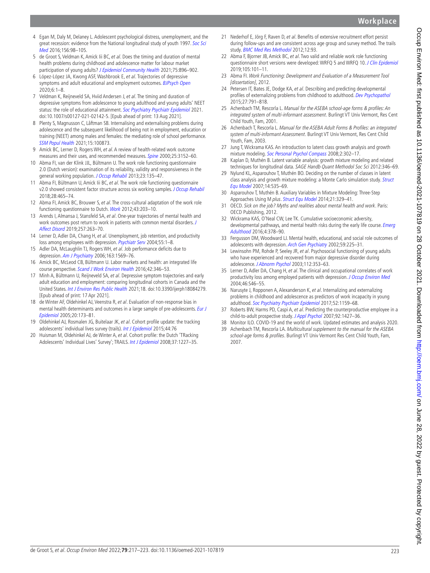**Workplace**

- 4 Egan M, Daly M, Delaney L. Adolescent psychological distress, unemployment, and the great recession: evidence from the National longitudinal study of youth 1997. [Soc Sci](http://dx.doi.org/10.1016/j.socscimed.2016.03.013)  [Med](http://dx.doi.org/10.1016/j.socscimed.2016.03.013) 2016:156:98-105.
- <span id="page-6-0"></span>5 de Groot S, Veldman K, Amick Iii BC, et al. Does the timing and duration of mental health problems during childhood and adolescence matter for labour market participation of young adults? [J Epidemiol Community Health](http://dx.doi.org/10.1136/jech-2020-215994) 2021;75:896-902.
- 6 López-López JA, Kwong ASF, Washbrook E, et al. Trajectories of depressive symptoms and adult educational and employment outcomes. [BJPsych Open](http://dx.doi.org/10.1192/bjo.2019.90) 2020;6:1–8.
- 7 Veldman K, Reijneveld SA, Hviid Andersen J, et al. The timing and duration of depressive symptoms from adolescence to young adulthood and young adults' NEET status: the role of educational attainment. [Soc Psychiatry Psychiatr Epidemiol](http://dx.doi.org/10.1007/s00127-021-02142-5) 2021. doi:10.1007/s00127-021-02142-5. [Epub ahead of print: 13 Aug 2021].
- 8 Plenty S, Magnusson C, Låftman SB. Internalising and externalising problems during adolescence and the subsequent likelihood of being not in employment, education or training (NEET) among males and females: the mediating role of school performance. [SSM Popul Health](http://dx.doi.org/10.1016/j.ssmph.2021.100873) 2021;15:100873.
- <span id="page-6-1"></span>9 Amick BC, Lerner D, Rogers WH, et al. A review of health-related work outcome measures and their uses, and recommended measures. [Spine](http://dx.doi.org/10.1097/00007632-200012150-00010) 2000;25:3152-60.
- <span id="page-6-8"></span>10 Abma FI, van der Klink JJL, Bültmann U. The work role functioning questionnaire 2.0 (Dutch version): examination of its reliability, validity and responsiveness in the general working population. [J Occup Rehabil](http://dx.doi.org/10.1007/s10926-012-9379-8) 2013;23:135–47.
- <span id="page-6-16"></span>11 Abma FI, Bültmann U, Amick Iii BC, et al. The work role functioning questionnaire v2.0 showed consistent factor structure across six working samples. *[J Occup Rehabil](http://dx.doi.org/10.1007/s10926-017-9722-1)* 2018;28:465–74.
- <span id="page-6-15"></span>12 Abma FI, Amick BC, Brouwer S, et al. The cross-cultural adaptation of the work role functioning questionnaire to Dutch. [Work](http://dx.doi.org/10.3233/WOR-2012-1362) 2012:43:203-10.
- <span id="page-6-2"></span>13 Arends I, Almansa J, Stansfeld SA, et al. One-year trajectories of mental health and work outcomes post return to work in patients with common mental disorders. J [Affect Disord](http://dx.doi.org/10.1016/j.jad.2019.07.018) 2019;257:263–70.
- <span id="page-6-3"></span>14 Lerner D, Adler DA, Chang H, et al. Unemployment, job retention, and productivity loss among employees with depression. [Psychiatr Serv](http://dx.doi.org/10.1176/appi.ps.55.12.1371) 2004;55:1-8.
- <span id="page-6-4"></span>15 Adler DA, McLaughlin TJ, Rogers WH, et al. Job performance deficits due to depression. [Am J Psychiatry](http://dx.doi.org/10.1176/ajp.2006.163.9.1569) 2006;163:1569-76.
- <span id="page-6-5"></span>16 Amick BC, McLeod CB, Bültmann U. Labor markets and health: an integrated life course perspective. [Scand J Work Environ Health](http://dx.doi.org/10.5271/sjweh.3567) 2016;42:346-53.
- <span id="page-6-6"></span>17 Minh A, Bültmann U, Reijneveld SA, et al. Depressive symptom trajectories and early adult education and employment: comparing longitudinal cohorts in Canada and the United States. [Int J Environ Res Public Health](http://dx.doi.org/10.3390/ijerph18084279) 2021;18. doi:10.3390/ijerph18084279. [Epub ahead of print: 17 Apr 2021].
- <span id="page-6-7"></span>18 de Winter AF, Oldehinkel AJ, Veenstra R, et al. Evaluation of non-response bias in mental health determinants and outcomes in a large sample of pre-adolescents. Eur J [Epidemiol](http://dx.doi.org/10.1007/s10654-004-4948-6) 2005;20:173–81.
- 19 Oldehinkel AJ, Rosmalen JG, Buitelaar JK, et al. Cohort profile update: the tracking adolescents' individual lives survey (trails). [Int J Epidemiol](http://dx.doi.org/10.1093/ije/dyu225) 2015;44:76
- 20 Huisman M, Oldehinkel AJ, de Winter A, et al. Cohort profile: the Dutch 'TRacking Adolescents' Individual Lives' Survey'; TRAILS. [Int J Epidemiol](http://dx.doi.org/10.1093/ije/dym273) 2008;37:1227-35.
- 21 Nederhof E, Jörg F, Raven D, et al. Benefits of extensive recruitment effort persist during follow-ups and are consistent across age group and survey method. The trails study. [BMC Med Res Methodol](http://dx.doi.org/10.1186/1471-2288-12-93) 2012;12:93.
- <span id="page-6-21"></span>22 Abma F, Bjorner JB, Amick BC, et al. Two valid and reliable work role functioning questionnaire short versions were developed: WRFO 5 and WRFO 10. [J Clin Epidemiol](http://dx.doi.org/10.1016/j.jclinepi.2018.09.005) 2019;105:101–11.
- <span id="page-6-9"></span>23 Abma Fl. Work Functioning: Development and Evaluation of a Measurement Tool [dissertation], 2012.
- <span id="page-6-10"></span>24 Petersen IT, Bates JE, Dodge KA, et al. Describing and predicting developmental profiles of externalizing problems from childhood to adulthood. [Dev Psychopathol](http://dx.doi.org/10.1017/S0954579414000789) 2015;27:791–818.
- <span id="page-6-11"></span>25 Achenbach TM, Rescorla L. Manual for the ASEBA school-age forms & profiles: An integrated system of multi-informant assessment. Burlingt VT Univ Vermont, Res Cent Child Youth, Fam, 2001.
- 26 Achenbach T, Rescorla L. Manual for the ASEBA Adult Forms & Profiles: an integrated system of multi-informant Assessment. Burlingt VT Univ Vermont, Res Cent Child Youth, Fam, 2003.
- <span id="page-6-12"></span>27 Jung T, Wickrama KAS. An introduction to latent class growth analysis and growth mixture modeling. [Soc Personal Psychol Compass](http://dx.doi.org/10.1111/j.1751-9004.2007.00054.x) 2008;2:302-17.
- 28 Kaplan D, Muthén B. Latent variable analysis: growth mixture modeling and related techniques for longitudinal data. SAGE Handb Quant Methodol Soc Sci 2012:346–69.
- 29 Nylund KL, Asparouhov T, Muthén BO. Deciding on the number of classes in latent class analysis and growth mixture modeling: a Monte Carlo simulation study. [Struct](http://dx.doi.org/10.1080/10705510701575396)  [Equ Model](http://dx.doi.org/10.1080/10705510701575396) 2007;14:535–69.
- <span id="page-6-13"></span>30 Asparouhov T, Muthén B. Auxiliary Variables in Mixture Modeling: Three-Step Approaches Using M plus. [Struct Equ Model](http://dx.doi.org/10.1080/10705511.2014.915181) 2014;21:329-41.
- <span id="page-6-14"></span>31 OECD. Sick on the job? Myths and realities about mental health and work. Paris: OECD Publishing, 2012.
- <span id="page-6-17"></span>32 Wickrama KAS, O'Neal CW, Lee TK. Cumulative socioeconomic adversity, developmental pathways, and mental health risks during the early life course. *Emerg* [Adulthood](http://dx.doi.org/10.1177/2167696815627250) 2016;4:378–90.
- 33 Fergusson DM, Woodward LJ. Mental health, educational, and social role outcomes of adolescents with depression. [Arch Gen Psychiatry](http://dx.doi.org/10.1001/archpsyc.59.3.225) 2002;59:225-31.
- 34 Lewinsohn PM, Rohde P, Seeley JR, et al. Psychosocial functioning of young adults who have experienced and recovered from major depressive disorder during adolescence. [J Abnorm Psychol](http://dx.doi.org/10.1037/0021-843X.112.3.353) 2003;112:353-63.
- <span id="page-6-18"></span>35 Lerner D, Adler DA, Chang H, et al. The clinical and occupational correlates of work productivity loss among employed patients with depression. [J Occup Environ Med](http://dx.doi.org/10.1097/01.jom.0000126684.82825.0a) 2004;46:S46–55.
- <span id="page-6-19"></span>36 Narusyte J, Ropponen A, Alexanderson K, et al. Internalizing and externalizing problems in childhood and adolescence as predictors of work incapacity in young adulthood. [Soc Psychiatry Psychiatr Epidemiol](http://dx.doi.org/10.1007/s00127-017-1409-6) 2017;52:1159–68.
- <span id="page-6-20"></span>37 Roberts BW, Harms PD, Caspi A, et al. Predicting the counterproductive employee in a child-to-adult prospective study. [J Appl Psychol](http://dx.doi.org/10.1037/0021-9010.92.5.1427) 2007;92:1427-36.
- <span id="page-6-23"></span>38 Monitor ILO. COVID-19 and the world of work. Updated estimates and analysis 2020.
- <span id="page-6-22"></span>39 Achenbach TM, Rescorla LA. Multicultural supplement to the manual for the ASEBA school-age forms & profiles. Burlingt VT Univ Vermont Res Cent Child Youth, Fam, 2007.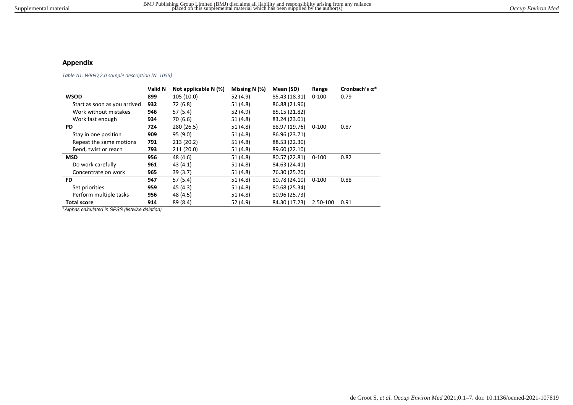## **Appendix**

*Table A1: WRFQ 2.0 sample description (N=1055)* 

|                              | Valid N | Not applicable $N$ (%) | Missing N $(%)$ | Mean (SD)     | Range     | Cronbach's $\alpha^*$ |
|------------------------------|---------|------------------------|-----------------|---------------|-----------|-----------------------|
| <b>WSOD</b>                  | 899     | 105 (10.0)             | 52 (4.9)        | 85.43 (18.31) | $0 - 100$ | 0.79                  |
| Start as soon as you arrived | 932     | 72 (6.8)               | 51 (4.8)        | 86.88 (21.96) |           |                       |
| Work without mistakes        | 946     | 57(5.4)                | 52 (4.9)        | 85.15 (21.82) |           |                       |
| Work fast enough             | 934     | 70 (6.6)               | 51(4.8)         | 83.24 (23.01) |           |                       |
| <b>PD</b>                    | 724     | 280 (26.5)             | 51(4.8)         | 88.97 (19.76) | $0 - 100$ | 0.87                  |
| Stay in one position         | 909     | 95(9.0)                | 51 (4.8)        | 86.96 (23.71) |           |                       |
| Repeat the same motions      | 791     | 213(20.2)              | 51(4.8)         | 88.53 (22.30) |           |                       |
| Bend, twist or reach         | 793     | 211(20.0)              | 51(4.8)         | 89.60 (22.10) |           |                       |
| <b>MSD</b>                   | 956     | 48 (4.6)               | 51(4.8)         | 80.57 (22.81) | $0 - 100$ | 0.82                  |
| Do work carefully            | 961     | 43(4.1)                | 51(4.8)         | 84.63 (24.41) |           |                       |
| Concentrate on work          | 965     | 39(3.7)                | 51 (4.8)        | 76.30 (25.20) |           |                       |
| <b>FD</b>                    | 947     | 57(5.4)                | 51(4.8)         | 80.78 (24.10) | $0 - 100$ | 0.88                  |
| Set priorities               | 959     | 45 (4.3)               | 51 (4.8)        | 80.68 (25.34) |           |                       |
| Perform multiple tasks       | 956     | 48 (4.5)               | 51(4.8)         | 80.96 (25.73) |           |                       |
| <b>Total score</b>           | 914     | 89 (8.4)               | 52 (4.9)        | 84.30 (17.23) | 2.50-100  | 0.91                  |

\*Alphas calculated in SPSS (listwise deletion)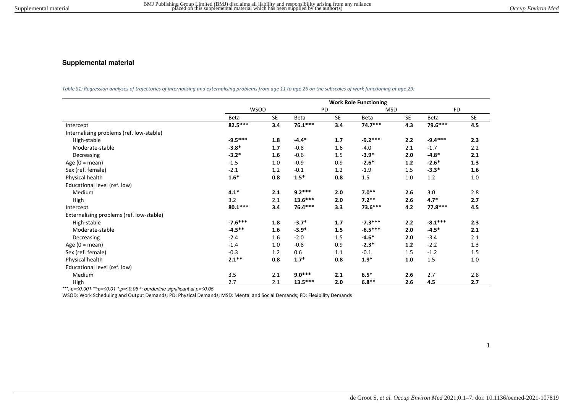## **Supplemental material**

*Table S1: Regression analyses of trajectories of internalising and externalising problems from age 11 to age 26 on the subscales of work functioning at age 29:* 

|                                          | <b>Work Role Functioning</b> |           |             |           |            |           |           |           |
|------------------------------------------|------------------------------|-----------|-------------|-----------|------------|-----------|-----------|-----------|
|                                          | <b>WSOD</b>                  |           | PD          |           | <b>MSD</b> |           | <b>FD</b> |           |
|                                          | Beta                         | <b>SE</b> | <b>Beta</b> | <b>SE</b> | Beta       | <b>SE</b> | Beta      | <b>SE</b> |
| Intercept                                | 82.5***                      | 3.4       | $76.1***$   | 3.4       | $74.7***$  | 4.3       | 79.6***   | 4.5       |
| Internalising problems (ref. low-stable) |                              |           |             |           |            |           |           |           |
| High-stable                              | $-9.5***$                    | 1.8       | $-4.4*$     | 1.7       | $-9.2***$  | 2.2       | $-9.4***$ | 2.3       |
| Moderate-stable                          | $-3.8*$                      | 1.7       | $-0.8$      | 1.6       | $-4.0$     | 2.1       | $-1.7$    | 2.2       |
| Decreasing                               | $-3.2*$                      | 1.6       | $-0.6$      | 1.5       | $-3.9*$    | 2.0       | $-4.8*$   | 2.1       |
| Age $(0 = \text{mean})$                  | $-1.5$                       | 1.0       | $-0.9$      | 0.9       | $-2.6*$    | $1.2$     | $-2.6*$   | 1.3       |
| Sex (ref. female)                        | $-2.1$                       | 1.2       | $-0.1$      | 1.2       | $-1.9$     | 1.5       | $-3.3*$   | 1.6       |
| Physical health                          | $1.6*$                       | 0.8       | $1.5*$      | 0.8       | 1.5        | 1.0       | 1.2       | 1.0       |
| Educational level (ref. low)             |                              |           |             |           |            |           |           |           |
| Medium                                   | $4.1*$                       | 2.1       | $9.2***$    | 2.0       | $7.0**$    | 2.6       | 3.0       | 2.8       |
| High                                     | 3.2                          | 2.1       | $13.6***$   | 2.0       | $7.2**$    | 2.6       | $4.7*$    | 2.7       |
| Intercept                                | $80.1***$                    | 3.4       | 76.4 ***    | 3.3       | 73.6***    | 4.2       | 77.8 ***  | 4.5       |
| Externalising problems (ref. low-stable) |                              |           |             |           |            |           |           |           |
| High-stable                              | $-7.6***$                    | 1.8       | $-3.7*$     | 1.7       | $-7.3***$  | 2.2       | $-8.1***$ | 2.3       |
| Moderate-stable                          | $-4.5***$                    | 1.6       | $-3.9*$     | 1.5       | $-6.5***$  | 2.0       | $-4.5*$   | 2.1       |
| Decreasing                               | $-2.4$                       | 1.6       | $-2.0$      | 1.5       | $-4.6*$    | 2.0       | $-3.4$    | 2.1       |
| Age $(0 = \text{mean})$                  | $-1.4$                       | 1.0       | $-0.8$      | 0.9       | $-2.3*$    | 1.2       | $-2.2$    | 1.3       |
| Sex (ref. female)                        | $-0.3$                       | 1.2       | 0.6         | 1.1       | $-0.1$     | 1.5       | $-1.2$    | 1.5       |
| Physical health                          | $2.1***$                     | 0.8       | $1.7*$      | 0.8       | $1.9*$     | 1.0       | 1.5       | 1.0       |
| Educational level (ref. low)             |                              |           |             |           |            |           |           |           |
| Medium                                   | 3.5                          | 2.1       | $9.0***$    | 2.1       | $6.5*$     | 2.6       | 2.7       | 2.8       |
| High                                     | 2.7                          | 2.1       | $13.5***$   | 2.0       | $6.8**$    | 2.6       | 4.5       | 2.7       |

*\*\*\*: p=≤0.001 \*\*:p=≤0.01 \*:p=≤0.05* <sup>a</sup> : borderline significant at *p=≤0.05*

WSOD: Work Scheduling and Output Demands; PD: Physical Demands; MSD: Mental and Social Demands; FD: Flexibility Demands